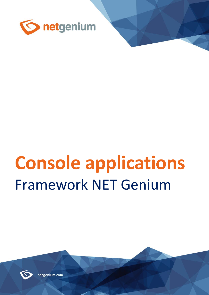

# **Console applications** Framework NET Genium



netgenium.com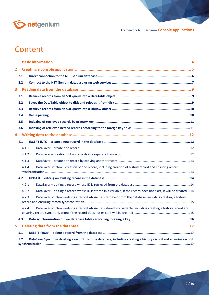

# **Content**

| $\mathbf{1}$   |       |                                                                                                                    |  |
|----------------|-------|--------------------------------------------------------------------------------------------------------------------|--|
| $\overline{2}$ |       |                                                                                                                    |  |
|                | 2.1   |                                                                                                                    |  |
|                | 2.2   |                                                                                                                    |  |
| 3              |       |                                                                                                                    |  |
|                | 3.1   |                                                                                                                    |  |
|                | 3.2   |                                                                                                                    |  |
|                | 3.3   |                                                                                                                    |  |
|                | 3.4   |                                                                                                                    |  |
|                | 3.5   |                                                                                                                    |  |
|                | 3.6   |                                                                                                                    |  |
| 4              |       |                                                                                                                    |  |
|                | 4.1   |                                                                                                                    |  |
|                | 4.1.1 |                                                                                                                    |  |
|                | 4.1.2 |                                                                                                                    |  |
|                | 4.1.3 |                                                                                                                    |  |
|                | 4.1.4 | DataSaverSynchro - creation of one record, including creation of history record and ensuring record                |  |
|                | 4.2   |                                                                                                                    |  |
|                | 4.2.1 |                                                                                                                    |  |
|                | 4.2.2 | DataSaver - editing a record whose ID is stored in a variable; if the record does not exist, it will be created 14 |  |
|                | 4.2.3 | DataSaverSynchro - editing a record whose ID is retrieved from the database, including creating a history          |  |
|                | 4.2.4 | DataSaverSynchro - editing a record whose ID is stored in a variable, including creating a history record and      |  |
|                | 4.3   |                                                                                                                    |  |
| 5.             |       |                                                                                                                    |  |
|                | 5.1   |                                                                                                                    |  |
|                | 5.2   | DataSaverSynchro - deleting a record from the database, including creating a history record and ensuring record    |  |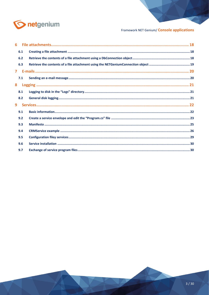

|                | 6.1 |  |
|----------------|-----|--|
|                | 6.2 |  |
|                | 6.3 |  |
| $\overline{7}$ |     |  |
|                | 7.1 |  |
| 8              |     |  |
|                | 8.1 |  |
|                | 8.2 |  |
| 9              |     |  |
|                | 9.1 |  |
|                | 9.2 |  |
|                | 9.3 |  |
|                | 9.4 |  |
|                | 9.5 |  |
|                | 9.6 |  |
|                | 9.7 |  |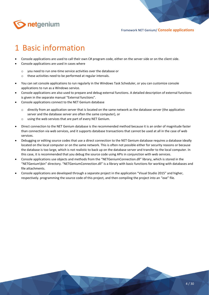

# <span id="page-3-0"></span>1 Basic information

- Console applications are used to call their own C# program code, either on the server side or on the client side.
- Console applications are used in cases where
	- o you need to run one-time service activities over the database or
	- o these activities need to be performed at regular intervals.
- You can set console applications to run regularly in the Windows Task Scheduler, or you can customize console applications to run as a Windows service.
- Console applications are also used to prepare and debug external functions. A detailed description of external functions is given in the separate manual "External functions".
- Console applications connect to the NET Genium database
	- $\circ$  directly from an application server that is located on the same network as the database server (the application server and the database server are often the same computer), or
	- o using the web services that are part of every NET Genium.
- Direct connection to the NET Genium database is the recommended method because it is an order of magnitude faster than connection via web services, and it supports database transactions that cannot be used at all in the case of web services.
- Debugging or editing source codes that use a direct connection to the NET Genium database requires a database ideally located on the local computer or on the same network. This is often not possible either for security reasons or because the database is too large, which is not realistic to back up on the database server and transfer to the local computer. In this case, it is recommended that you debug the source code using APIs in conjunction with web services.
- Console applications use objects and methods from the "NETGeniumConnection.dll" library, which is stored in the "NETGenium\bin" directory. "NETGeniumConnection.dll" is a library with basic functions for working with databases and file attachments.
- Console applications are developed through a separate project in the application "Visual Studio 2015" and higher, respectively. programming the source code of this project, and then compiling the project into an "exe" file.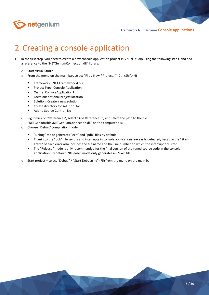

# <span id="page-4-0"></span>2 Creating a console application

- In the first step, you need to create a new console application project in Visual Studio using the following steps, and add a reference to the "NETGeniumConnection.dll" library:
	- o Start Visual Studio
	- o From the menu on the main bar, select "File / New / Project…" (Ctrl+Shift+N)
		- Framework: .NET Framework 4.5.2
		- Project Type: Console Application
		- On me: ConsoleApplication1
		- Location: optional project location
		- Solution: Create a new solution
		- Create directory for solution: No
		- Add to Source Control: No
	- o Right-click on "References", select "Add Reference…", and select the path to the file
		- "NETGenium\bin\NETGeniumConnection.dll" on the computer disk
	- o Choose "Debug" compilation mode
		- "Debug" mode generates "exe" and "pdb" files by default
		- Thanks to the "pdb" file, errors and interrupts in console applications are easily detected, because the "Stack Trace" of each error also includes the file name and the line number on which the interrupt occurred.
		- The "Release" mode is only recommended for the final version of the tuned source code in the console application. By default, "Release" mode only generates an "exe" file.
	- o Start project select "Debug" / "Start Debugging" (F5) from the menu on the main bar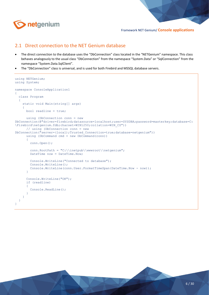

### <span id="page-5-0"></span>2.1 Direct connection to the NET Genium database

- The direct connection to the database uses the "DbConnection" class located in the "NETGenium" namespace. This class behaves analogously to the usual class "DbConnection" from the namespace "System.Data" or "SqlConnection" from the namespace "System.Data.SqlClient".
- The "DbConnection" class is universal, and is used for both Firebird and MSSQL database servers.

```
using NETGenium;
using System;
namespace ConsoleApplication1
{
   class Program
   {
     static void Main(string[] args)
\sim \sim \sim \sim \sim \sim bool readline = true;
       using (DbConnection conn = new 
DbConnection(@"driver=firebird;datasource=localhost;user=SYSDBA;password=masterkey;database=C:
\Firebird\netgenium.fdb;charset=WIN1250;collation=WIN_CZ"))
       // using (DbConnection conn = new 
DbConnection("server=(local);Trusted Connection=true;database=netgenium"))
      using (DbCommand cmd = new DbCommand(conn))
       {
         conn.Open();
         conn.RootPath = "C:\\inetpub\\wwwroot\\netgenium";
        DateTime now = DateTime.Now;
          Console.WriteLine("Connected to database");
         Console.WriteLine();
         Console.WriteLine(conn.User.FormatTimeSpan(DateTime.Now - now));
       }
       Console.WriteLine("OK");
       if (readline)
\overline{\mathcal{L}} Console.ReadLine();
       }
     }
   }
}
```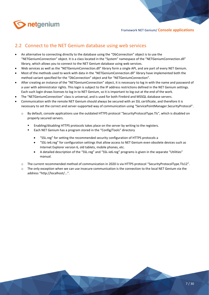

### <span id="page-6-0"></span>2.2 Connect to the NET Genium database using web services

- An alternative to connecting directly to the database using the "DbConnection" object is to use the "NETGeniumConnection" object. It is a class located in the "System" namespace of the "NETGeniumConnection.dll" library, which allows you to connect to the NET Genium database using web services.
- Web services as well as the "NETGeniumConnection.dll" library form a single API, and are part of every NET Genium.
- Most of the methods used to work with data in the "NETGeniumConnection.dll" library have implemented both the method variant specified for the "DbConnection" object and for "NETGeniumConnection".
- After creating an instance of the "NETGeniumConnection" object, it is necessary to log in with the name and password of a user with administrator rights. This login is subject to the IP address restrictions defined in the NET Genium settings. Each such login draws licenses to log in to NET Genium, so it is important to log out at the end of the work.
- The "NETGeniumConnection" class is universal, and is used for both Firebird and MSSQL database servers.
- Communication with the remote NET Genium should always be secured with an SSL certificate, and therefore it is necessary to set the correct and server-supported way of communication using "ServicePointManager.SecurityProtocol".
	- o By default, console applications use the outdated HTTPS protocol "SecurityProtocolType.Tls", which is disabled on properly secured servers.
		- Enabling/disabling HTTPS protocols takes place on the server by writing to the registers.
		- Each NET Genium has a program stored in the "Config/Tools" directory
			- "SSL.reg" for setting the recommended security configuration of HTTPS protocols a
			- "SSL-ie6.reg" for configuration settings that allow access to NET Genium even obsolete devices such as Internet Explorer version 6, old tablets, mobile phones, etc.
			- A detailed description of the "SSL.reg" and "SSL-ie6.reg" programs is given in the separate "Utilities" manual.
	- o The current recommended method of communication in 2020 is via HTTPS protocol "SecurityProtocolType.Tls12".
	- $\circ$  The only exception when we can use insecure communication is the connection to the local NET Genium via the address "http://localhost/...".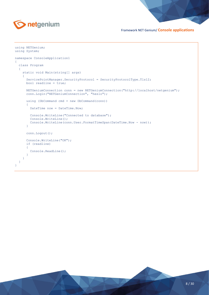

```
using NETGenium;
using System;
namespace ConsoleApplication1
{
   class Program
   {
     static void Main(string[] args)
     {
       ServicePointManager.SecurityProtocol = SecurityProtocolType.Tls12;
       bool readline = true;
       NETGeniumConnection conn = new NETGeniumConnection("http://localhost/netgenium");
       conn.Login("NETGeniumConnection", "heslo");
       using (DbCommand cmd = new DbCommand(conn))
       {
        DateTime now = DateTime.Now;
         Console.WriteLine("Connected to database");
         Console.WriteLine();
         Console.WriteLine(conn.User.FormatTimeSpan(DateTime.Now - now));
       }
       conn.Logout();
       Console.WriteLine("OK");
       if (readline)
       {
         Console.ReadLine();
       }
     }
   }
}
```
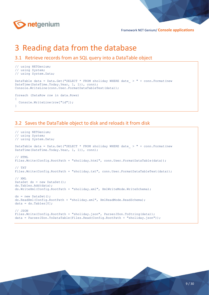

# <span id="page-8-0"></span>3 Reading data from the database

```
3.1 Retrieve records from an SQL query into a DataTable object
```

```
// using NETGenium;
// using System;
// using System.Data;
DataTable data = Data.Get("SELECT * FROM sholiday WHERE date > " + conn.Format(new
DateTime(DateTime.Today.Year, 1, 1)), conn);
Console.WriteLine(conn.User.FormatDataTableText(data));
foreach (DataRow row in data.Rows)
{
   Console.WriteLine(row["id"]);
}
```
### <span id="page-8-2"></span>3.2 Saves the DataTable object to disk and reloads it from disk

```
// using NETGenium;
// using System;
// using System.Data;
DataTable data = Data.Get("SELECT * FROM sholiday WHERE date > " + conn.Format(new
DateTime(DateTime.Today.Year, 1, 1)), conn);
// HTML
Files.Write(Config.RootPath + "sholiday.html", conn.User.FormatDataTable(data));
// TXT
Files.Write(Config.RootPath + "sholiday.txt", conn.User.FormatDataTableText(data));
// XMT.
DataSet ds = new DataSet();
ds.Tables.Add(data);
ds.WriteXml(Config.RootPath + "sholiday.xml", XmlWriteMode.WriteSchema);
ds = new DataSet();
ds.ReadXml(Config.RootPath + "sholiday.xml", XmlReadMode.ReadSchema);
data = ds.floatels[0];// JSON
Files.Write(Config.RootPath + "sholiday.json", ParserJSon.ToString(data));
data = ParserJSon.ToDataTable(Files.Read(Config.RootPath + "sholiday.json"));
```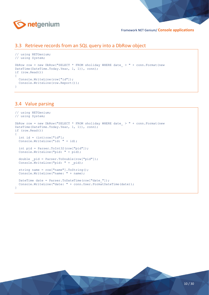

### <span id="page-9-0"></span>3.3 Retrieve records from an SQL query into a DbRow object

```
// using NETGenium;
// using System;
DbRow row = new DbRow("SELECT * FROM sholiday WHERE date > " + conn.Format(new
DateTime(DateTime.Today.Year, 1, 1)), conn);
if (row.Read())
₫.
   Console.WriteLine(row["id"]);
   Console.WriteLine(row.Report());
}
```
### <span id="page-9-1"></span>3.4 Value parsing

```
// using NETGenium;
// using System;
DbRow row = new DbRow("SELECT * FROM sholiday WHERE date > " + conn.Format(new
DateTime(DateTime.Today.Year, 1, 1)), conn);
if (row.Read())
{
int id = (int)row['id;
Console.WriteLine("id: " + id);
  int pid = Parser.ToInt32(row["pid"]);
  Console.WriteLine("pid: " + pid);
  double pid = Parser.ToDouble(row["pid"]);
  Console.WriteLine("pid: " + _pid);
   string name = row["name"].ToString();
  Console.WriteLine("name: " + name);
  DateTime date = Parser.ToDateTime(row["date "]);
   Console.WriteLine("date: " + conn.User.FormatDateTime(date));
}
```
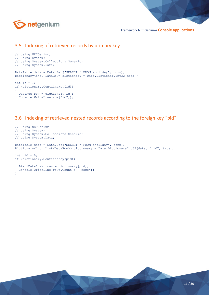

### <span id="page-10-0"></span>3.5 Indexing of retrieved records by primary key

```
// using NETGenium;
// using System;
// using System.Collections.Generic;
// using System.Data;
DataTable data = Data.Get("SELECT * FROM sholiday", conn);
Dictionary<int, DataRow> dictionary = Data.DictionaryInt32(data);
int id = 1;
if (dictionary.ContainsKey(id))
{
  DataRow row = dictionary[id];
   Console.WriteLine(row["id"]);
}
```
### <span id="page-10-1"></span>3.6 Indexing of retrieved nested records according to the foreign key "pid"

```
// using NETGenium;
// using System;
// using System.Collections.Generic;
// using System.Data;
DataTable data = Data.Get("SELECT * FROM sholiday", conn);
Dictionary<int, List<DataRow>> dictionary = Data.DictionaryInt32(data, "pid", true);
int pid = 0;
if (dictionary.ContainsKey(pid))
{
 List<DataRow> rows = dictionary[pid];
  Console.WriteLine(rows.Count + " rows");
}
```
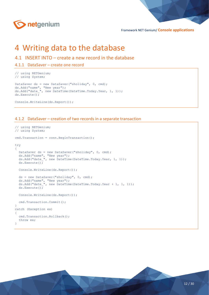

### <span id="page-11-0"></span>4 Writing data to the database

- <span id="page-11-1"></span>4.1 INSERT INTO – create a new record in the database
- <span id="page-11-2"></span>4.1.1 DataSaver – create one record

```
// using NETGenium;
// using System;
DataSaver ds = new DataSaver("sholiday", 0, cmd);
ds.Add("name", "New year");
ds.Add("date ", new DateTime(DateTime.Today.Year, 1, 1));
ds.Execute();
```

```
Console.WriteLine(ds.Report());
```
#### <span id="page-11-3"></span>4.1.2 DataSaver – creation of two records in a separate transaction

```
// using NETGenium;
// using System;
cmd.Transaction = conn.BeginTransaction();
try
{
  DataSaver ds = new DataSaver("sholiday", 0, cmd);
 ds.Add("name", "New year");
ds.Add("date ", new DateTime(DateTime.Today.Year, 1, 1));
   ds.Execute();
   Console.WriteLine(ds.Report());
   ds = new DataSaver("sholiday", 0, cmd);
 ds.Add("name", "New year");
ds.Add("date ", new DateTime(DateTime.Today.Year + 1, 1, 1));
   ds.Execute();
   Console.WriteLine(ds.Report());
   cmd.Transaction.Commit();
}
catch (Exception ex)
{
   cmd.Transaction.Rollback();
   throw ex;
}
```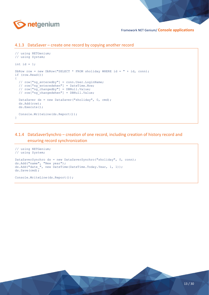

#### <span id="page-12-0"></span>4.1.3 DataSaver – create one record by copying another record

```
// using NETGenium;
// using System;
int id = 1;
DbRow row = new DbRow("SELECT * FROM sholiday WHERE id = " + id, conn);
if (row.Read())
{
  // row["ng enteredby"] = conn.User.LoginName;
   // row["ng_enteredwhen"] = DateTime.Now;
   // row["ng_changedby"] = DBNull.Value;
   // row["ng_changedwhen"] = DBNull.Value;
  DataSaver ds = new DataSaver("sholiday", 0, cmd);
   ds.Add(row);
   ds.Execute();
  Console.WriteLine(ds.Report());
}
```
### <span id="page-12-1"></span>4.1.4 DataSaverSynchro – creation of one record, including creation of history record and ensuring record synchronization

```
// using NETGenium;
// using System;
DataSaverSynchro ds = new DataSaverSynchro("sholiday", 0, conn);
ds.Add("name", "New year");
ds.Add("date ", new DateTime(DateTime.Today.Year, 1, 1));
ds.Save(cmd);
```
Console.WriteLine(ds.Report());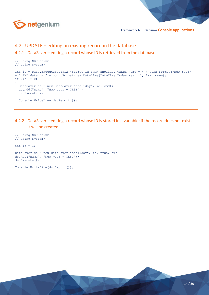

### <span id="page-13-0"></span>4.2 UPDATE – editing an existing record in the database

#### <span id="page-13-1"></span>4.2.1 DataSaver – editing a record whose ID is retrieved from the database

```
// using NETGenium;
// using System;
int id = Data.ExecuteScalar2("SELECT id FROM sholiday WHERE name = " + conn.Format("New Year") 
+ " AND date_ = " + conn.Format(new DateTime(DateTime.Today.Year, 1, 1)), conn);
if (id != 0)
\left\{ \right.DataSaver ds = new DataSaver("sholiday", id, cmd);
   ds.Add("name", "New year - TEST");
   ds.Execute();
   Console.WriteLine(ds.Report());
}
```
#### <span id="page-13-2"></span>4.2.2 DataSaver – editing a record whose ID is stored in a variable; if the record does not exist, it will be created

```
// using NETGenium;
// using System;
int id = 1;
DataSaver ds = new DataSaver("sholiday", id, true, cmd);
ds.Add("name", "New year - TEST");
ds.Execute();
Console.WriteLine(ds.Report());
```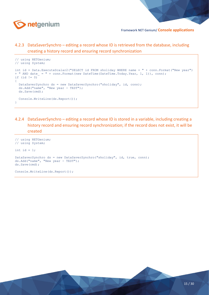

### <span id="page-14-0"></span>4.2.3 DataSaverSynchro – editing a record whose ID is retrieved from the database, including creating a history record and ensuring record synchronization

```
// using NETGenium;
// using System;
int id = Data.ExecuteScalar2("SELECT id FROM sholiday WHERE name = " + conn.Format("New year") 
+ " AND date_ = " + conn. Format (new DateTime (DateTime. Today. Year, 1, 1)), conn);
if (id != 0){
   DataSaverSynchro ds = new DataSaverSynchro("sholiday", id, conn);
   ds.Add("name", "New year - TEST");
   ds.Save(cmd);
   Console.WriteLine(ds.Report());
}
```
### <span id="page-14-1"></span>4.2.4 DataSaverSynchro – editing a record whose ID is stored in a variable, including creating a history record and ensuring record synchronization; if the record does not exist, it will be created

```
// using NETGenium;
// using System;
int id = 1;
DataSaverSynchro ds = new DataSaverSynchro("sholiday", id, true, conn);
ds.Add("name", "New year - TEST");
ds.Save(cmd);
Console.WriteLine(ds.Report());
```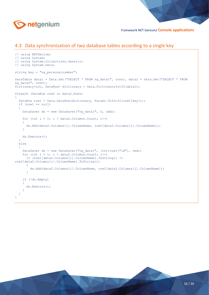

### <span id="page-15-0"></span>4.3 Data synchronization of two database tables according to a single key

```
// using NETGenium;
// using System;
// using System.Collections.Generic;
// using System.Data;
string key = "ng personalnumber";
DataTable data1 = Data.Get("SELECT * FROM ng data1", conn), data2 = Data.Get("SELECT * FROM
ng data2", conn);
Dictionary<int, DataRow> dictionary = Data.DictionaryInt32(data1);
foreach (DataRow row2 in data2.Rows)
{
   DataRow row1 = Data.DataRow(dictionary, Parser.ToInt32(row2[key]));
  if (row1 == null) {
    DataSaver ds = new DataSaver("ng data1", 0, cmd);
    for (int i = 1; i < data2. Columns. Count; i++)
     {
       ds.Add(data2.Columns[i].ColumnName, row2[data2.Columns[i].ColumnName]);
     }
     ds.Execute();
   }
   else
   {
    DataSaver ds = new DataSaver("ng data1", (int)row1["id"], cmd);
    for (int i = 1; i < data2. Columns. Count; i++)
       if (row1[data2.Columns[i].ColumnName].ToString() != 
row2[data2.Columns[i].ColumnName].ToString())
\overline{\mathcal{L}} ds.Add(data2.Columns[i].ColumnName, row2[data2.Columns[i].ColumnName]);
       }
     if (!ds.Empty)
     {
       ds.Execute();
 }
   }
}
```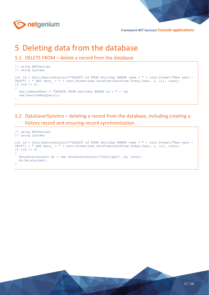

# <span id="page-16-0"></span>5 Deleting data from the database

<span id="page-16-1"></span>5.1 DELETE FROM – delete a record from the database

```
// using NETGenium;
// using System;
int id = Data.ExecuteScalar2("SELECT id FROM sholiday WHERE name = " + conn.Format("New year -
TEST") + " AND date_ = " + conn.Format(new DateTime(DateTime.Today.Year, 1, 1)), conn);
if (id != 0){
   cmd.CommandText = "DELETE FROM sholiday WHERE id = " + id;
  cmd.ExecuteNonQuery();
}
```
<span id="page-16-2"></span>5.2 DataSaverSynchro – deleting a record from the database, including creating a history record and ensuring record synchronization

```
// using NETGenium;
// using System;
int id = Data.ExecuteScalar2("SELECT id FROM sholiday WHERE name = " + conn.Format("New year -
TEST") + " AND date = " + conn.Format(new DateTime(DateTime.Today.Year, 1, 1)), conn);
if (id != 0){
   DataSaverSynchro ds = new DataSaverSynchro("sholiday", id, conn);
  ds.Delete(cmd);
}
```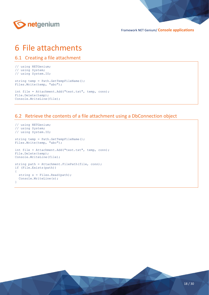

### <span id="page-17-0"></span>6 File attachments

```
6.1 Creating a file attachment
```
// using NETGenium; // using System; // using System.IO;

```
string temp = Path.GetTempFileName();
Files.Write(temp, "abc");
```
int file = Attachment.Add("test.txt", temp, conn); File.Delete(temp); Console.WriteLine(file);

### <span id="page-17-2"></span>6.2 Retrieve the contents of a file attachment using a DbConnection object

```
// using NETGenium;
// using System;
// using System.IO;
string temp = Path.GetTempFileName();
Files.Write(temp, "abc");
int file = Attachment.Add("test.txt", temp, conn);
File.Delete(temp);
Console.WriteLine(file);
string path = Attachment. FilePath(file, conn);
if (File.Exists(path))
\left\{ \right.string s = Files. Read(path);
   Console.WriteLine(s);
}
```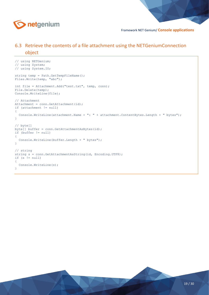

### <span id="page-18-0"></span>6.3 Retrieve the contents of a file attachment using the NETGeniumConnection object

```
// using NETGenium;
// using System;
// using System.IO;
string temp = Path.GetTempFileName();
Files.Write(temp, "abc");
int file = Attachment.Add("test.txt", temp, conn);
File.Delete(temp);
Console.WriteLine(file);
// Attachment
Attachment = conn.GetAttachment(id);
if (attachment != null)
{
   Console.WriteLine(attachment.Name + ": " + attachment.ContentBytes.Length + " bytes");
}
// byte[]
\frac{1}{2} buffer = conn.GetAttachmentAsBytes(id);
if (buffer != null)
{
   Console.WriteLine(buffer.Length + " bytes");
}
// string
string s = conn.GetAttachmentAsString(id, Encoding.UTF8);
if (s := null){
   Console.WriteLine(s);
}
```
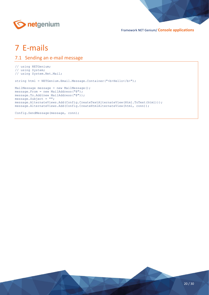

# <span id="page-19-0"></span>7 E-mails

### <span id="page-19-1"></span>7.1 Sending an e-mail message

```
// using NETGenium;
// using System;
// using System.Net.Mail;
```
string html = NETGenium.Email.Message.Container("<br/>b>Hello</b>");

```
MailMessage message = new MailMessage();
message.From = new MailAddress("@");
message.To.Add(new MailAddress("@"));
message.Subject = "";
message.AlternateViews.Add(Config.CreateTextAlternateView(Html.ToText(html)));
message.AlternateViews.Add(Config.CreateHtmlAlternateView(html, conn));
```
Config.SendMessage(message, conn);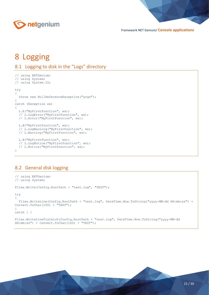

# <span id="page-20-0"></span>8 Logging

```
8.1 Logging to disk in the "Logs" directory
```

```
// using NETGenium;
// using System;
// using System.IO;
try
{
   throw new NullReferenceException("args");
}
catch (Exception ex)
{
   L.E("MyFirstFunction", ex);
   // L.LogError("MyFirstFunction", ex);
   // L.Error("MyFirstFunction", ex);
   L.W("MyFirstFunction", ex);
   // L.LogWarning("MyFirstFunction", ex);
   // L.Warning("MyFirstFunction", ex);
   L.N("MyFirstFunction", ex);
   // L.LogNotice("MyFirstFunction", ex);
   // L.Notice("MyFirstFunction", ex);
}
```
### <span id="page-20-2"></span>8.2 General disk logging

```
// using NETGenium;
// using System;
Files.Write(Config.RootPath + "test.log", "TEST");
try
{
   Files.WriteLine(Config.RootPath + "test.log", DateTime.Now.ToString("yyyy-MM-dd HH:mm:ss") + 
Convert.ToChar(160) + "TEST");
}
catch { }
Files.WriteLineTryCatch(Config.RootPath + "test.log", DateTime.Now.ToString("yyyy-MM-dd 
HH:mm:ss") + Convert.ToChar(160) + "TEST");
```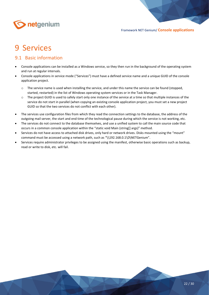

# <span id="page-21-0"></span>9 Services

### <span id="page-21-1"></span>9.1 Basic information

- Console applications can be installed as a Windows service, so they then run in the background of the operating system and run at regular intervals.
- Console applications in service mode ("Services") must have a defined service name and a unique GUID of the console application project.
	- o The service name is used when installing the service, and under this name the service can be found (stopped, started, restarted) in the list of Windows operating system services or in the Task Manager.
	- o The project GUID is used to safely start only one instance of the service at a time so that multiple instances of the service do not start in parallel (when copying an existing console application project, you must set a new project GUID so that the two services do not conflict with each other).
- The services use configuration files from which they read the connection settings to the database, the address of the outgoing mail server, the start and end time of the technological pause during which the service is not working, etc.
- The services do not connect to the database themselves, and use a unified system to call the main source code that occurs in a common console application within the "static void Main (string[] args)" method.
- Services do not have access to attached disk drives, only hard or network drives. Disks mounted using the "mount" command must be accessed using a network path, such as "\\192.168.0.1\D\NETGenium".
- Services require administrator privileges to be assigned using the manifest, otherwise basic operations such as backup, read or write to disk, etc. will fail.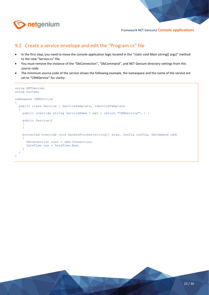

### <span id="page-22-0"></span>9.2 Create a service envelope and edit the "Program.cs" file

- In the first step, you need to move the console application logic located in the "static void Main (string[] args)" method to the new "Service.cs" file.
- You must remove the instance of the "DbConnection", "DbCommand", and NET Genium directory settings from this source code.
- The minimum source code of the service shows the following example, the namespace and the name of the service are set to "CRMService" for clarity:

```
using NETGenium;
using System;
namespace CRMService
{
   public class Service : ServiceTemplate, IServiceTemplate
\overline{\phantom{a}}public override string ServiceName { get { return "CRMService"; } }
     public Service()
\sim \sim \sim \sim \sim \sim }
     protected override void HandleProcess(string[] args, Config config, DbCommand cmd)
\sim \sim \sim \sim \sim \sim DbConnection conn = cmd.Connection;
        DateTime now = DateTime.Now;
 }
  \Box}
```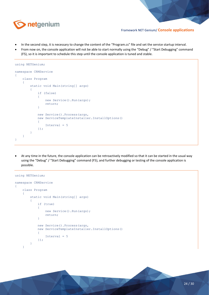

- In the second step, it is necessary to change the content of the "Program.cs" file and set the service startup interval.
- From now on, the console application will not be able to start normally using the "Debug" / "Start Debugging" command (F5), so it is important to schedule this step until the console application is tuned and stable.

```
using NETGenium;
namespace CRMService
{
     class Program
      {
          static void Main(string[] args)
\overline{\mathcal{L}} if (false)
\overline{\mathcal{L}} new Service().Run(args);
                   return;
 }
               new Service().Process(args,
               new ServiceTemplateInstaller.InstallOptions()
\overline{\mathcal{L}} Interval = 5
               });
          }
     }
}
```
• At any time in the future, the console application can be retroactively modified so that it can be started in the usual way using the "Debug" / "Start Debugging" command (F5), and further debugging or testing of the console application is possible.

```
using NETGenium;
namespace CRMService
{
     class Program
      {
          static void Main(string[] args)
\overline{\mathcal{L}} if (true)
\overline{\mathcal{L}} new Service().Run(args);
                   return;
 }
              new Service().Process(args,
              new ServiceTemplateInstaller.InstallOptions()
\overline{\mathcal{L}} Interval = 5
              });
          }
     }
```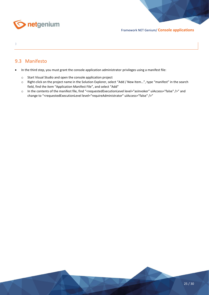

#### }

### <span id="page-24-0"></span>9.3 Manifesto

- In the third step, you must grant the console application administrator privileges using a manifest file:
	- o Start Visual Studio and open the console application project
	- o Right-click on the project name in the Solution Explorer, select "Add / New Item…", type "manifest" in the search field, find the item "Application Manifest File", and select "Add"
	- o In the contents of the manifest file, find "<requestedExecutionLevel level="asInvoker" uiAccess="false" />" and change to "<requestedExecutionLevel level="requireAdministrator" uiAccess="false" />"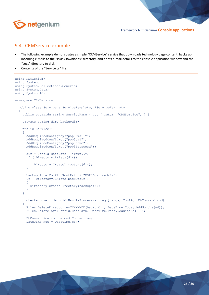

### <span id="page-25-0"></span>9.4 CRMService example

- The following example demonstrates a simple "CRMService" service that downloads technology page content, backs up incoming e-mails to the "POP3Downloads" directory, and prints e-mail details to the console application window and the "Logs" directory to disk.
- Contents of the "Service.cs" file:

```
using NETGenium;
using System;
using System.Collections.Generic;
using System.Data;
using System.IO;
namespace CRMService
{
   public class Service : ServiceTemplate, IServiceTemplate
\overline{\phantom{a}}public override string ServiceName { get { return "CRMService"; } }
     private string dir, backupdir;
     public Service()
\sim \sim \sim \sim \sim \sim AddRequiredConfigKey("pop3Email");
       AddRequiredConfigKey("pop3Url");
AddRequiredConfigKey("pop3Name");
AddRequiredConfigKey("pop3Password");
      dir = Confiq.RootPath + "Temp\\". if (!Directory.Exists(dir))
       {
            Directory.CreateDirectory(dir);
       }
      backupdir = Config.RootPath + "POP3Downloads\\";
       if (!Directory.Exists(backupdir))
\overline{\mathcal{L}} Directory.CreateDirectory(backupdir);
       }
     }
     protected override void HandleProcess(string[] args, Config, DbCommand cmd)
\sim \sim \sim \sim \sim \simFiles.DeleteDirectoriesYYYYMMDD(backupdir, DateTime.Today.AddMonths(-6));
       Files.DeleteLogs(Config.RootPath, DateTime.Today.AddYears(-1));
       DbConnection conn = cmd.Connection;
       DateTime now = DateTime.Now;
```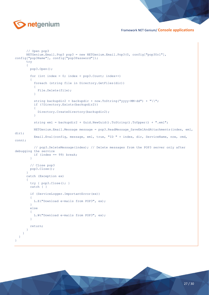

```
 // Open pop3
       NETGenium.Email.Pop3 pop3 = new NETGenium.Email.Pop3(0, config["pop3Url"], 
config["pop3Name"], config["pop3Password"]);
       try
       {
         pop3.Open();
        for (int index = 0; index < pop3.Count; index++)
\overline{\mathcal{L}} foreach (string file in Directory.GetFiles(dir))
\{ File.Delete(file);
 }
          string backupdir2 = backupdir + now.ToString("yyyy-MM-dd") + "\wedge";
           if (!Directory.Exists(backupdir2))
\{ Directory.CreateDirectory(backupdir2);
 }
           string eml = backupdir2 + Guid.NewGuid().ToString().ToUpper() + ".eml";
           NETGenium.Email.Message message = pop3.ReadMessage_SaveEmlAndAttachments(index, eml, 
dir);
           Email.Eval(config, message, eml, true, "ID " + index, dir, ServiceName, now, cmd, 
conn);
           // pop3.DeleteMessage(index); // Delete messages from the POP3 server only after 
debugging the service
           if (index == 99) break;
         }
         // Close pop3
         pop3.Close();
 }
       catch (Exception ex)
\overline{\mathcal{L}}try { pop3.Close(); }
         catch { }
         if (ServiceLogger.ImportantError(ex))
\overline{\mathcal{L}} L.E("Download e-mails from POP3", ex);
 }
         else
\overline{\mathcal{L}} L.W("Download e-mails from POP3", ex);
 }
         return;
       }
     }
   }
}
```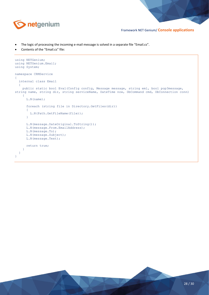

- The logic of processing the incoming e-mail message is solved in a separate file "Email.cs".
- Contents of the "Email.cs" file:

```
using NETGenium;
using NETGenium.Email;
using System;
namespace CRMService
{
   internal class Email
   {
     public static bool Eval(Config config, Message message, string eml, bool pop3message, 
string name, string dir, string serviceName, DateTime now, DbCommand cmd, DbConnection conn)
     {
       L.N(name);
       foreach (string file in Directory.GetFiles(dir))
       {
         L.N(Path.GetFileName(file));
       }
       L.N(message.DateOriginal.ToString());
       L.N(message.From.EmailAddress);
       L.N(message.To);
       L.N(message.Subject);
       L.N(message.Text);
       return true;
     }
  \lambda}
```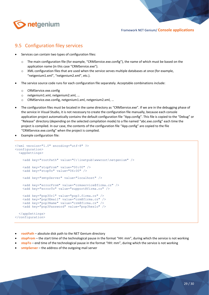

### <span id="page-28-0"></span>9.5 Configuration filey services

- Services can contain two types of configuration files:
	- The main configuration file (for example, "CRMService.exe.config"), the name of which must be based on the application name (in this case "CRMService.exe").
	- o XML configuration files that are used when the service serves multiple databases at once (for example, "netgenium1.xml", "netgenium2.xml", etc.).
- The service source code runs for each configuration file separately. Acceptable combinations include:
	- o CRMService.exe.config
	- o netgenium1.xml, netgenium2.xml, …
	- o CRMService.exe.config, netgenium1.xml, netgenium2.xml, …
- The configuration files must be located in the same directory as "CRMService.exe". If we are in the debugging phase of the service in Visual Studio, it is not necessary to create the configuration file manually, because each console application project automatically contains the default configuration file "App.config". This file is copied to the "Debug" or "Release" directory (depending on the selected compilation mode) to a file named "abc.exe.config" each time the project is compiled. In our case, the contents of the configuration file "App.config" are copied to the file "CRMService.exe.config" when the project is compiled.
- Example configuration file:

```
<?xml version="1.0" encoding="utf-8" ?>
<configuration>
   <appSettings>
     <add key="rootPath" value="C:\inetpub\wwwroot\netgenium" />
     <add key="stopFrom" value="00:00" />
     <add key="stopTo" value="06:00" />
     <add key="smtpServer" value="localhost" />
     <add key="errorFrom" value="crmservice@firma.cz" />
     <add key="errorTo" value="support@firma.cz" />
     <add key="pop3Url" value="pop3.firma.cz" />
     <add key="pop3Email" value="crm@firma.cz" />
     <add key="pop3Name" value="crm@firma.cz" />
     <add key="pop3Password" value="pop3heslo" />
   </appSettings>
</configuration>
```
- **rootPath** absolute disk path to the NET Genium directory
- **stopFrom** the start time of the technological pause in the format "HH: mm", during which the service is not working
- **stopTo** end time of the technological pause in the format "HH: mm", during which the service is not working
- **smtpServer** the address of the outgoing mail server